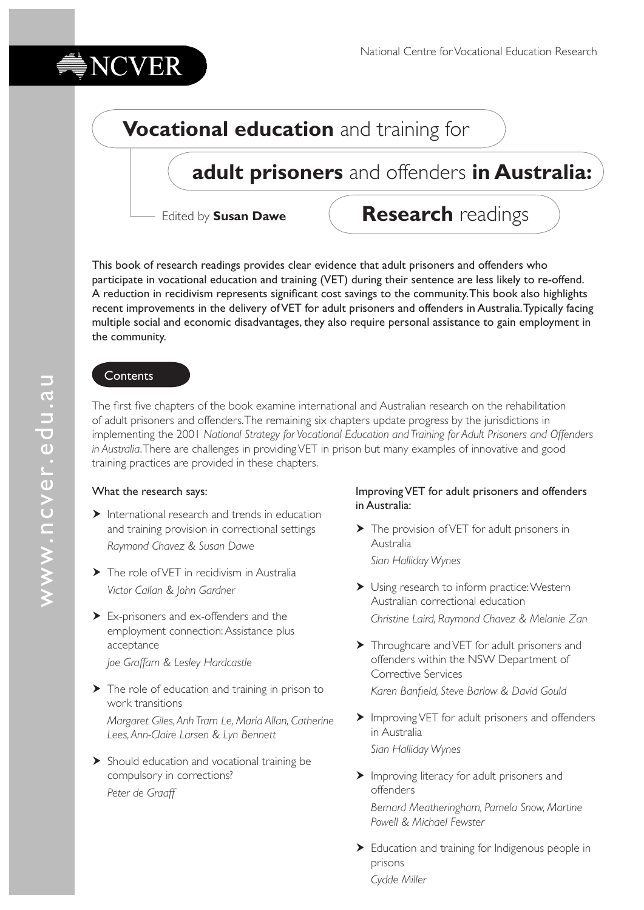# **Vocational education** and training for

## **adult prisoners** and offenders **in Australia:**

Edited by **Susan Dawe**

**Research** readings

This book of research readings provides clear evidence that adult prisoners and offenders who participate in vocational education and training (VET) during their sentence are less likely to re-offend. A reduction in recidivism represents significant cost savings to the community. This book also highlights recent improvements in the delivery of VET for adult prisoners and offenders in Australia. Typically facing multiple social and economic disadvantages, they also require personal assistance to gain employment in the community.

#### **Contents**

NCVER

The first five chapters of the book examine international and Australian research on the rehabilitation of adult prisoners and offenders. The remaining six chapters update progress by the jurisdictions in implementing the 2001 *National Strategy for Vocational Education and Training for Adult Prisoners and Offenders in Australia*. There are challenges in providing VET in prison but many examples of innovative and good training practices are provided in these chapters.

#### What the research says:

- $\blacktriangleright$  International research and trends in education and training provision in correctional settings *Raymond Chavez & Susan Dawe*
- > The role of VET in recidivism in Australia *Victor Callan & John Gardner*
- Ex-prisoners and ex-offenders and the employment connection: Assistance plus acceptance *Joe Graffam & Lesley Hardcastle*
- ▶ The role of education and training in prison to work transitions *Margaret Giles, Anh Tram Le, Maria Allan, Catherine Lees, Ann-Claire Larsen & Lyn Bennett*
- Should education and vocational training be compulsory in corrections? *Peter de Graaff*

#### Improving VET for adult prisoners and offenders in Australia:

- The provision of VET for adult prisoners in Australia *Sian Halliday Wynes*
- Using research to inform practice: Western Australian correctional education *Christine Laird, Raymond Chavez & Melanie Zan*
- > Throughcare and VET for adult prisoners and offenders within the NSW Department of Corrective Services
	- *Karen Banfield, Steve Barlow & David Gould*
- Improving VET for adult prisoners and offenders in Australia *Sian Halliday Wynes*
- Improving literacy for adult prisoners and offenders *Bernard Meatheringham, Pamela Snow, Martine Powell & Michael Fewster*
- Education and training for Indigenous people in prisons *Cydde Miller*